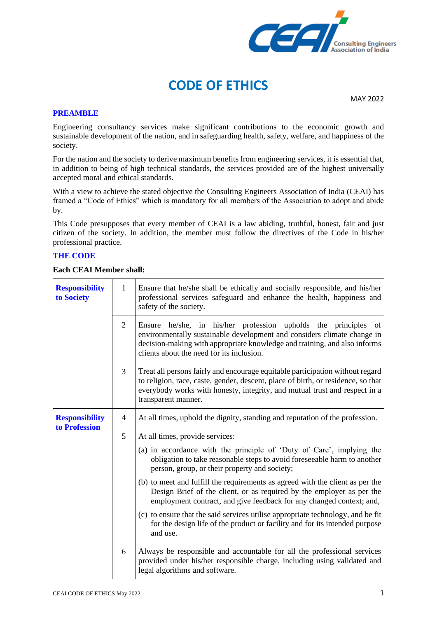

MAY 2022

#### **PREAMBLE**

Engineering consultancy services make significant contributions to the economic growth and sustainable development of the nation, and in safeguarding health, safety, welfare, and happiness of the society.

For the nation and the society to derive maximum benefits from engineering services, it is essential that, in addition to being of high technical standards, the services provided are of the highest universally accepted moral and ethical standards.

With a view to achieve the stated objective the Consulting Engineers Association of India (CEAI) has framed a "Code of Ethics" which is mandatory for all members of the Association to adopt and abide by.

This Code presupposes that every member of CEAI is a law abiding, truthful, honest, fair and just citizen of the society. In addition, the member must follow the directives of the Code in his/her professional practice.

### **THE CODE**

### **Each CEAI Member shall:**

| <b>Responsibility</b><br>to Society    | $\mathbf{1}$   | Ensure that he/she shall be ethically and socially responsible, and his/her<br>professional services safeguard and enhance the health, happiness and<br>safety of the society.                                                                                            |  |  |
|----------------------------------------|----------------|---------------------------------------------------------------------------------------------------------------------------------------------------------------------------------------------------------------------------------------------------------------------------|--|--|
|                                        | $\overline{2}$ | Ensure he/she, in his/her profession upholds the<br>principles<br>of<br>environmentally sustainable development and considers climate change in<br>decision-making with appropriate knowledge and training, and also informs<br>clients about the need for its inclusion. |  |  |
|                                        | 3              | Treat all persons fairly and encourage equitable participation without regard<br>to religion, race, caste, gender, descent, place of birth, or residence, so that<br>everybody works with honesty, integrity, and mutual trust and respect in a<br>transparent manner.    |  |  |
| <b>Responsibility</b><br>to Profession | $\overline{4}$ | At all times, uphold the dignity, standing and reputation of the profession.                                                                                                                                                                                              |  |  |
|                                        | 5              | At all times, provide services:                                                                                                                                                                                                                                           |  |  |
|                                        |                | (a) in accordance with the principle of 'Duty of Care', implying the<br>obligation to take reasonable steps to avoid foreseeable harm to another<br>person, group, or their property and society;                                                                         |  |  |
|                                        |                | (b) to meet and fulfill the requirements as agreed with the client as per the<br>Design Brief of the client, or as required by the employer as per the<br>employment contract, and give feedback for any changed context; and,                                            |  |  |
|                                        |                | (c) to ensure that the said services utilise appropriate technology, and be fit<br>for the design life of the product or facility and for its intended purpose<br>and use.                                                                                                |  |  |
|                                        | 6              | Always be responsible and accountable for all the professional services<br>provided under his/her responsible charge, including using validated and<br>legal algorithms and software.                                                                                     |  |  |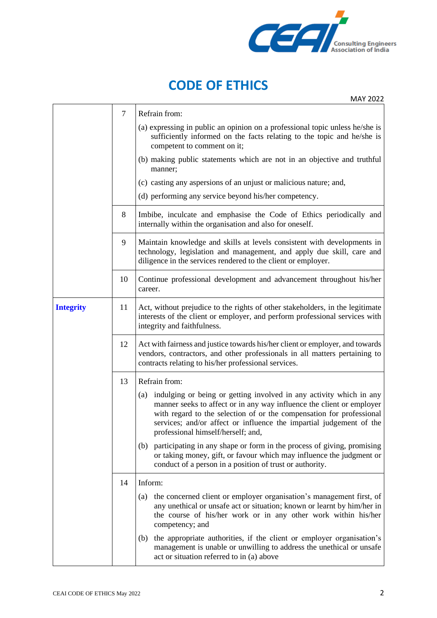

MAY 2022

|                  | $\overline{7}$ | Refrain from:                                                                                                                                                                                                                                                                                                                         |  |  |
|------------------|----------------|---------------------------------------------------------------------------------------------------------------------------------------------------------------------------------------------------------------------------------------------------------------------------------------------------------------------------------------|--|--|
|                  |                | (a) expressing in public an opinion on a professional topic unless he/she is<br>sufficiently informed on the facts relating to the topic and he/she is<br>competent to comment on it;                                                                                                                                                 |  |  |
|                  |                | (b) making public statements which are not in an objective and truthful<br>manner;                                                                                                                                                                                                                                                    |  |  |
|                  |                | (c) casting any aspersions of an unjust or malicious nature; and,                                                                                                                                                                                                                                                                     |  |  |
|                  |                | (d) performing any service beyond his/her competency.                                                                                                                                                                                                                                                                                 |  |  |
|                  | 8              | Imbibe, inculcate and emphasise the Code of Ethics periodically and<br>internally within the organisation and also for oneself.                                                                                                                                                                                                       |  |  |
|                  | 9              | Maintain knowledge and skills at levels consistent with developments in<br>technology, legislation and management, and apply due skill, care and<br>diligence in the services rendered to the client or employer.                                                                                                                     |  |  |
|                  | 10             | Continue professional development and advancement throughout his/her<br>career.                                                                                                                                                                                                                                                       |  |  |
| <b>Integrity</b> | 11             | Act, without prejudice to the rights of other stakeholders, in the legitimate<br>interests of the client or employer, and perform professional services with<br>integrity and faithfulness.                                                                                                                                           |  |  |
|                  | 12             | Act with fairness and justice towards his/her client or employer, and towards<br>vendors, contractors, and other professionals in all matters pertaining to<br>contracts relating to his/her professional services.                                                                                                                   |  |  |
|                  | 13             | Refrain from:                                                                                                                                                                                                                                                                                                                         |  |  |
|                  |                | (a) indulging or being or getting involved in any activity which in any<br>manner seeks to affect or in any way influence the client or employer<br>with regard to the selection of or the compensation for professional<br>services; and/or affect or influence the impartial judgement of the<br>professional himself/herself; and, |  |  |
|                  |                | participating in any shape or form in the process of giving, promising<br>(b)<br>or taking money, gift, or favour which may influence the judgment or<br>conduct of a person in a position of trust or authority.                                                                                                                     |  |  |
|                  | 14             | Inform:                                                                                                                                                                                                                                                                                                                               |  |  |
|                  |                | the concerned client or employer organisation's management first, of<br>(a)<br>any unethical or unsafe act or situation; known or learnt by him/her in<br>the course of his/her work or in any other work within his/her<br>competency; and                                                                                           |  |  |
|                  |                | the appropriate authorities, if the client or employer organisation's<br>(b)<br>management is unable or unwilling to address the unethical or unsafe<br>act or situation referred to in (a) above                                                                                                                                     |  |  |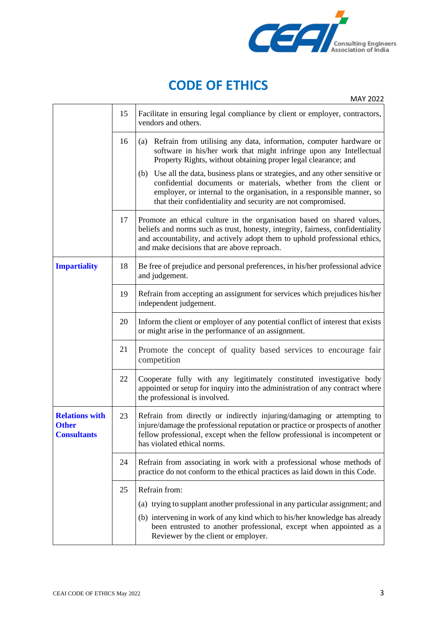

MAY 2022

|                                                             | 15 | Facilitate in ensuring legal compliance by client or employer, contractors,<br>vendors and others.                                                                                                                                                                                                                                                                                                                                                                                                               |  |  |
|-------------------------------------------------------------|----|------------------------------------------------------------------------------------------------------------------------------------------------------------------------------------------------------------------------------------------------------------------------------------------------------------------------------------------------------------------------------------------------------------------------------------------------------------------------------------------------------------------|--|--|
|                                                             | 16 | (a) Refrain from utilising any data, information, computer hardware or<br>software in his/her work that might infringe upon any Intellectual<br>Property Rights, without obtaining proper legal clearance; and<br>Use all the data, business plans or strategies, and any other sensitive or<br>(b)<br>confidential documents or materials, whether from the client or<br>employer, or internal to the organisation, in a responsible manner, so<br>that their confidentiality and security are not compromised. |  |  |
|                                                             | 17 | Promote an ethical culture in the organisation based on shared values,<br>beliefs and norms such as trust, honesty, integrity, fairness, confidentiality<br>and accountability, and actively adopt them to uphold professional ethics,<br>and make decisions that are above reproach.                                                                                                                                                                                                                            |  |  |
| <b>Impartiality</b><br>18                                   |    | Be free of prejudice and personal preferences, in his/her professional advice<br>and judgement.                                                                                                                                                                                                                                                                                                                                                                                                                  |  |  |
|                                                             | 19 | Refrain from accepting an assignment for services which prejudices his/her<br>independent judgement.                                                                                                                                                                                                                                                                                                                                                                                                             |  |  |
|                                                             | 20 | Inform the client or employer of any potential conflict of interest that exists<br>or might arise in the performance of an assignment.                                                                                                                                                                                                                                                                                                                                                                           |  |  |
|                                                             | 21 | Promote the concept of quality based services to encourage fair<br>competition                                                                                                                                                                                                                                                                                                                                                                                                                                   |  |  |
|                                                             | 22 | Cooperate fully with any legitimately constituted investigative body<br>appointed or setup for inquiry into the administration of any contract where<br>the professional is involved.                                                                                                                                                                                                                                                                                                                            |  |  |
| <b>Relations with</b><br><b>Other</b><br><b>Consultants</b> | 23 | Refrain from directly or indirectly injuring/damaging or attempting to<br>injure/damage the professional reputation or practice or prospects of another<br>fellow professional, except when the fellow professional is incompetent or<br>has violated ethical norms.                                                                                                                                                                                                                                             |  |  |
|                                                             | 24 | Refrain from associating in work with a professional whose methods of<br>practice do not conform to the ethical practices as laid down in this Code.                                                                                                                                                                                                                                                                                                                                                             |  |  |
| 25<br>Refrain from:                                         |    |                                                                                                                                                                                                                                                                                                                                                                                                                                                                                                                  |  |  |
|                                                             |    | (a) trying to supplant another professional in any particular assignment; and                                                                                                                                                                                                                                                                                                                                                                                                                                    |  |  |
|                                                             |    | (b) intervening in work of any kind which to his/her knowledge has already<br>been entrusted to another professional, except when appointed as a<br>Reviewer by the client or employer.                                                                                                                                                                                                                                                                                                                          |  |  |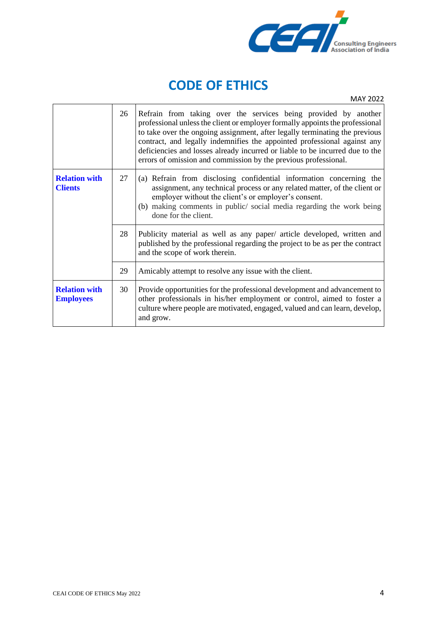

MAY 2022

|                                          | 26 | Refrain from taking over the services being provided by another<br>professional unless the client or employer formally appoints the professional<br>to take over the ongoing assignment, after legally terminating the previous<br>contract, and legally indemnifies the appointed professional against any<br>deficiencies and losses already incurred or liable to be incurred due to the<br>errors of omission and commission by the previous professional. |  |
|------------------------------------------|----|----------------------------------------------------------------------------------------------------------------------------------------------------------------------------------------------------------------------------------------------------------------------------------------------------------------------------------------------------------------------------------------------------------------------------------------------------------------|--|
| <b>Relation with</b><br><b>Clients</b>   | 27 | (a) Refrain from disclosing confidential information concerning the<br>assignment, any technical process or any related matter, of the client or<br>employer without the client's or employer's consent.<br>(b) making comments in public/social media regarding the work being<br>done for the client.                                                                                                                                                        |  |
|                                          | 28 | Publicity material as well as any paper/ article developed, written and<br>published by the professional regarding the project to be as per the contract<br>and the scope of work therein.                                                                                                                                                                                                                                                                     |  |
|                                          | 29 | Amicably attempt to resolve any issue with the client.                                                                                                                                                                                                                                                                                                                                                                                                         |  |
| <b>Relation with</b><br><b>Employees</b> | 30 | Provide opportunities for the professional development and advancement to<br>other professionals in his/her employment or control, aimed to foster a<br>culture where people are motivated, engaged, valued and can learn, develop,<br>and grow.                                                                                                                                                                                                               |  |